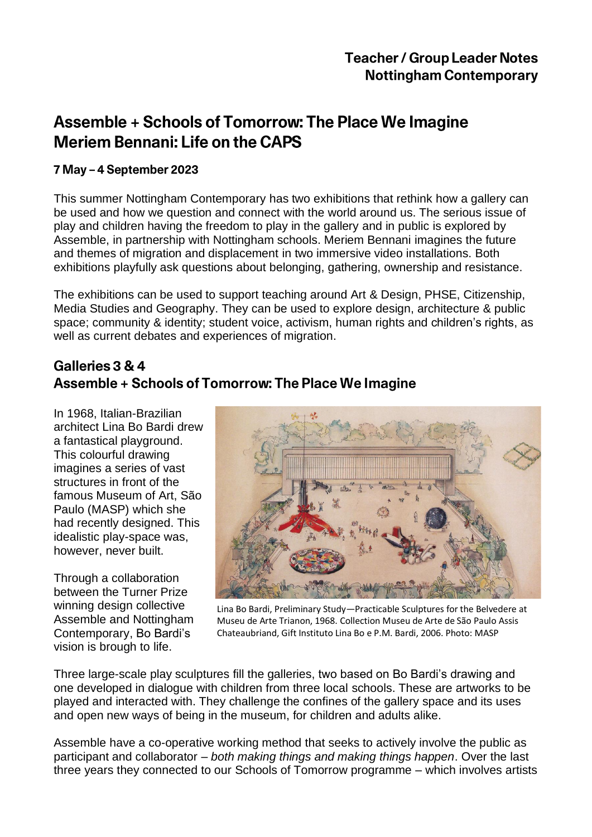# Assemble + Schools of Tomorrow: The Place We Imagine **Meriem Bennani: Life on the CAPS**

#### 7 May - 4 September 2023

This summer Nottingham Contemporary has two exhibitions that rethink how a gallery can be used and how we question and connect with the world around us. The serious issue of play and children having the freedom to play in the gallery and in public is explored by Assemble, in partnership with Nottingham schools. Meriem Bennani imagines the future and themes of migration and displacement in two immersive video installations. Both exhibitions playfully ask questions about belonging, gathering, ownership and resistance.

The exhibitions can be used to support teaching around Art & Design, PHSE, Citizenship, Media Studies and Geography. They can be used to explore design, architecture & public space; community & identity; student voice, activism, human rights and children's rights, as well as current debates and experiences of migration.

### Galleries 3 & 4 Assemble + Schools of Tomorrow: The Place We Imagine

In 1968, Italian-Brazilian architect Lina Bo Bardi drew a fantastical playground. This colourful drawing imagines a series of vast structures in front of the famous Museum of Art, São Paulo (MASP) which she had recently designed. This idealistic play-space was, however, never built.

Through a collaboration between the Turner Prize winning design collective Assemble and Nottingham Contemporary, Bo Bardi's vision is brough to life.



Lina Bo Bardi, Preliminary Study—Practicable Sculptures for the Belvedere at Museu de Arte Trianon, 1968. Collection Museu de Arte de São Paulo Assis Chateaubriand, Gift Instituto Lina Bo e P.M. Bardi, 2006. Photo: MASP

Three large-scale play sculptures fill the galleries, two based on Bo Bardi's drawing and one developed in dialogue with children from three local schools. These are artworks to be played and interacted with. They challenge the confines of the gallery space and its uses and open new ways of being in the museum, for children and adults alike.

Assemble have a co-operative working method that seeks to actively involve the public as participant and collaborator – *both making things and making things happen*. Over the last three years they connected to our Schools of Tomorrow programme – which involves artists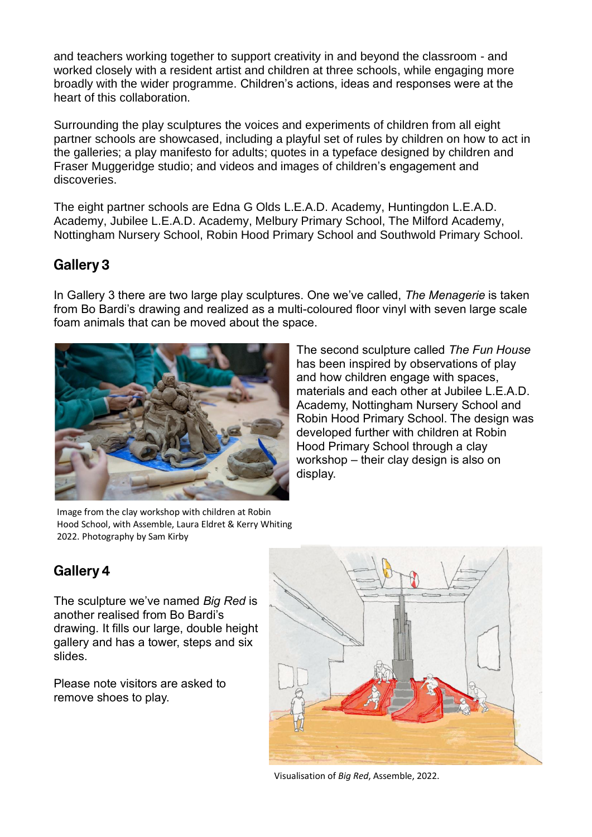and teachers working together to support creativity in and beyond the classroom - and worked closely with a resident artist and children at three schools, while engaging more broadly with the wider programme. Children's actions, ideas and responses were at the heart of this collaboration.

Surrounding the play sculptures the voices and experiments of children from all eight partner schools are showcased, including a playful set of rules by children on how to act in the galleries; a play manifesto for adults; quotes in a typeface designed by children and Fraser Muggeridge studio; and videos and images of children's engagement and discoveries.

The eight partner schools are Edna G Olds L.E.A.D. Academy, Huntingdon L.E.A.D. Academy, Jubilee L.E.A.D. Academy, Melbury Primary School, The Milford Academy, Nottingham Nursery School, Robin Hood Primary School and Southwold Primary School.

#### **Gallery 3**

In Gallery 3 there are two large play sculptures. One we've called, *The Menagerie* is taken from Bo Bardi's drawing and realized as a multi-coloured floor vinyl with seven large scale foam animals that can be moved about the space.



Image from the clay workshop with children at Robin Hood School, with Assemble, Laura Eldret & Kerry Whiting 2022. Photography by Sam Kirby

The second sculpture called *The Fun House* has been inspired by observations of play and how children engage with spaces, materials and each other at Jubilee L.E.A.D. Academy, Nottingham Nursery School and Robin Hood Primary School. The design was developed further with children at Robin Hood Primary School through a clay workshop – their clay design is also on display.

## Gallery 4

The sculpture we've named *Big Red* is another realised from Bo Bardi's drawing. It fills our large, double height gallery and has a tower, steps and six slides.

Please note visitors are asked to remove shoes to play.



Visualisation of *Big Red*, Assemble, 2022.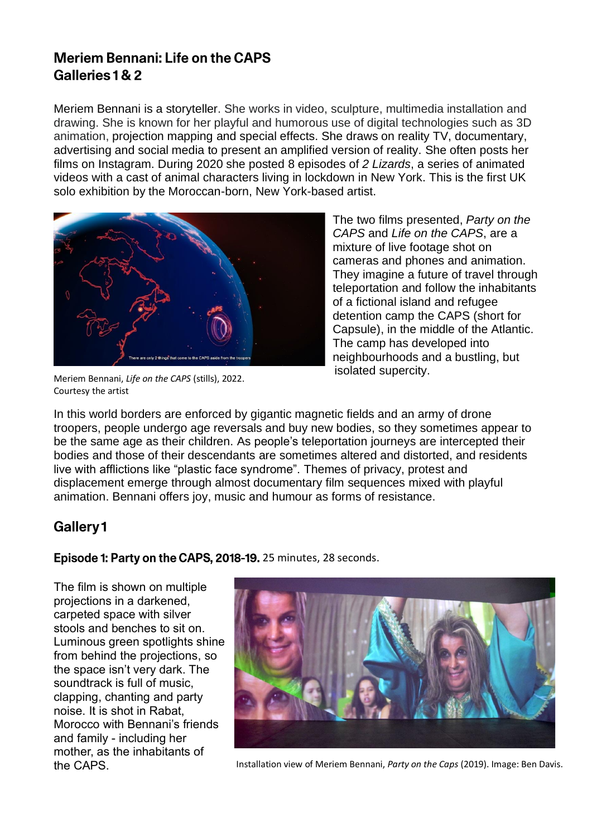## **Meriem Bennani: Life on the CAPS** Galleries 1& 2

Meriem Bennani is a storyteller. She works in video, sculpture, multimedia installation and drawing. She is known for her playful and humorous use of digital technologies such as 3D animation, projection mapping and special effects. She draws on reality TV, documentary, advertising and social media to present an amplified version of reality. She often posts her films on Instagram. During 2020 she posted 8 episodes of *2 Lizards*, a series of animated videos with a cast of animal characters living in lockdown in New York. This is the first UK solo exhibition by the Moroccan-born, New York-based artist.



Meriem Bennani, *Life on the CAPS* (stills), 2022. Courtesy the artist

The two films presented, *Party on the CAPS* and *Life on the CAPS*, are a mixture of live footage shot on cameras and phones and animation. They imagine a future of travel through teleportation and follow the inhabitants of a fictional island and refugee detention camp the CAPS (short for Capsule), in the middle of the Atlantic. The camp has developed into neighbourhoods and a bustling, but isolated supercity.

In this world borders are enforced by gigantic magnetic fields and an army of drone troopers, people undergo age reversals and buy new bodies, so they sometimes appear to be the same age as their children. As people's teleportation journeys are intercepted their bodies and those of their descendants are sometimes altered and distorted, and residents live with afflictions like "plastic face syndrome". Themes of privacy, protest and displacement emerge through almost documentary film sequences mixed with playful animation. Bennani offers joy, music and humour as forms of resistance.

### Gallery1

Episode 1: Party on the CAPS, 2018-19. 25 minutes, 28 seconds.

The film is shown on multiple projections in a darkened, carpeted space with silver stools and benches to sit on. Luminous green spotlights shine from behind the projections, so the space isn't very dark. The soundtrack is full of music, clapping, chanting and party noise. It is shot in Rabat, Morocco with Bennani's friends and family - including her mother, as the inhabitants of



the CAPS. Installation view of Meriem Bennani, *Party on the Caps* (2019). Image: Ben Davis.